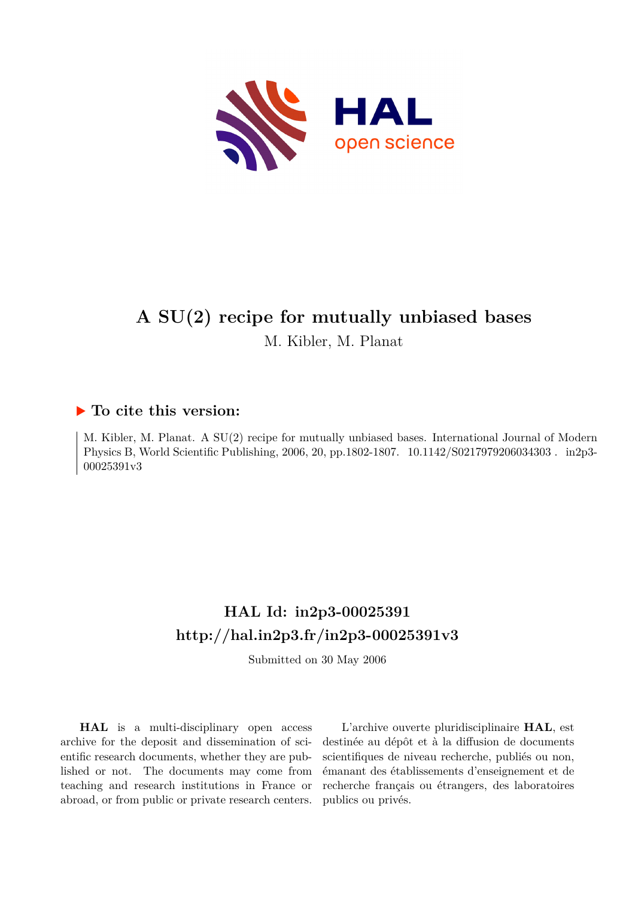

# **A SU(2) recipe for mutually unbiased bases**

M. Kibler, M. Planat

### **To cite this version:**

M. Kibler, M. Planat. A SU(2) recipe for mutually unbiased bases. International Journal of Modern Physics B, World Scientific Publishing, 2006, 20, pp.1802-1807. 10.1142/S0217979206034303. in2p3-00025391v3

# **HAL Id: in2p3-00025391 <http://hal.in2p3.fr/in2p3-00025391v3>**

Submitted on 30 May 2006

**HAL** is a multi-disciplinary open access archive for the deposit and dissemination of scientific research documents, whether they are published or not. The documents may come from teaching and research institutions in France or abroad, or from public or private research centers.

L'archive ouverte pluridisciplinaire **HAL**, est destinée au dépôt et à la diffusion de documents scientifiques de niveau recherche, publiés ou non, émanant des établissements d'enseignement et de recherche français ou étrangers, des laboratoires publics ou privés.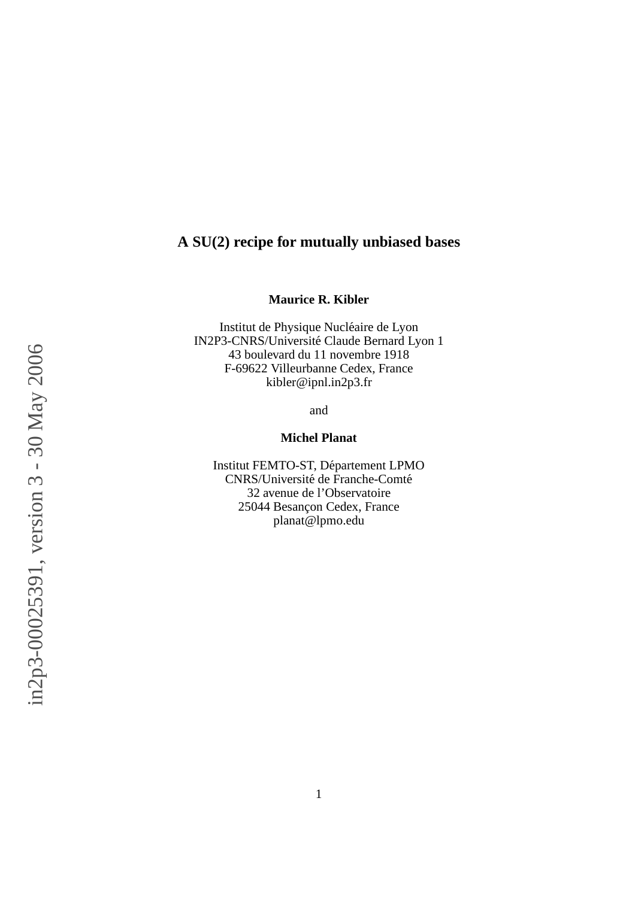### **A SU(2) recipe for mutually unbiased bases**

#### **Maurice R. Kibler**

Institut de Physique Nucléaire de Lyon IN2P3-CNRS/Université Claude Bernard Lyon 1 43 boulevard du 11 novembre 1918 F-69622 Villeurbanne Cedex, France kibler@ipnl.in2p3.fr

and

#### **Michel Planat**

Institut FEMTO-ST, Département LPMO CNRS/Université de Franche-Comté 32 avenue de l'Observatoire 25044 Besançon Cedex, France planat@lpmo.edu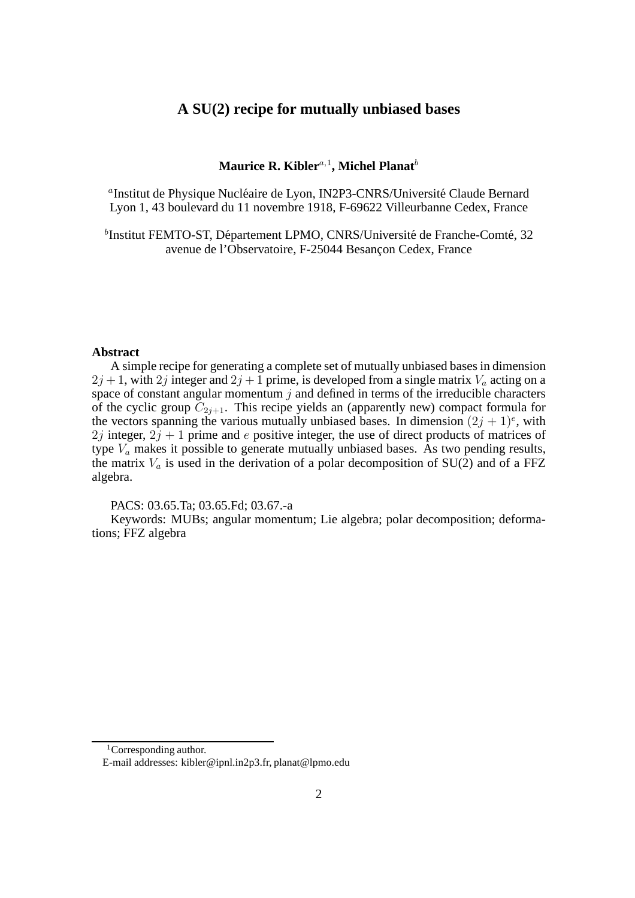#### **A SU(2) recipe for mutually unbiased bases**

#### $\mathbf M$ aurice R. Kibler $^{a,1}$ , Michel Planat $^b$

<sup>a</sup>Institut de Physique Nucléaire de Lyon, IN2P3-CNRS/Université Claude Bernard Lyon 1, 43 boulevard du 11 novembre 1918, F-69622 Villeurbanne Cedex, France

 $^{b}$ Institut FEMTO-ST, Département LPMO, CNRS/Université de Franche-Comté, 32 avenue de l'Observatoire, F-25044 Besançon Cedex, France

#### **Abstract**

A simple recipe for generating a complete set of mutually unbiased bases in dimension  $2j + 1$ , with  $2j$  integer and  $2j + 1$  prime, is developed from a single matrix  $V_a$  acting on a space of constant angular momentum  $j$  and defined in terms of the irreducible characters of the cyclic group  $C_{2j+1}$ . This recipe yields an (apparently new) compact formula for the vectors spanning the various mutually unbiased bases. In dimension  $(2j + 1)^e$ , with 2j integer,  $2j + 1$  prime and e positive integer, the use of direct products of matrices of type  $V_a$  makes it possible to generate mutually unbiased bases. As two pending results, the matrix  $V_a$  is used in the derivation of a polar decomposition of SU(2) and of a FFZ algebra.

PACS: 03.65.Ta; 03.65.Fd; 03.67.-a

Keywords: MUBs; angular momentum; Lie algebra; polar decomposition; deformations; FFZ algebra

<sup>&</sup>lt;sup>1</sup>Corresponding author.

E-mail addresses: kibler@ipnl.in2p3.fr, planat@lpmo.edu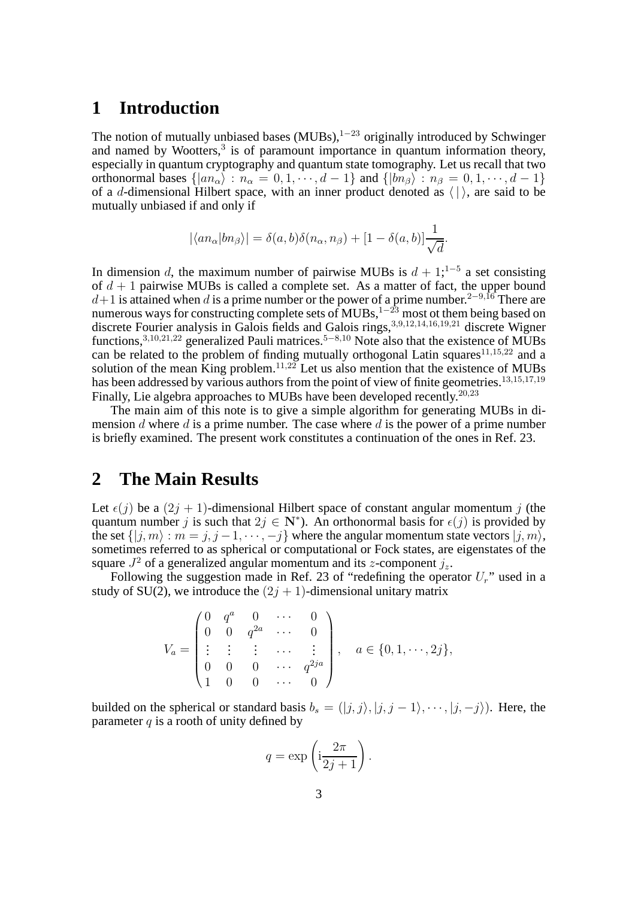# **1 Introduction**

The notion of mutually unbiased bases  $(MUBs)$ ,<sup>1-23</sup> originally introduced by Schwinger and named by Wootters, $3$  is of paramount importance in quantum information theory, especially in quantum cryptography and quantum state tomography. Let us recall that two orthonormal bases  $\{ |an_{\alpha}\rangle : n_{\alpha} = 0, 1, \dots, d - 1\}$  and  $\{ |bn_{\beta}\rangle : n_{\beta} = 0, 1, \dots, d - 1\}$ of a d-dimensional Hilbert space, with an inner product denoted as  $\langle | \rangle$ , are said to be mutually unbiased if and only if

$$
|\langle a n_{\alpha}| b n_{\beta} \rangle| = \delta(a, b)\delta(n_{\alpha}, n_{\beta}) + [1 - \delta(a, b)] \frac{1}{\sqrt{d}}.
$$

In dimension d, the maximum number of pairwise MUBs is  $d + 1$ ;<sup>1-5</sup> a set consisting of  $d + 1$  pairwise MUBs is called a complete set. As a matter of fact, the upper bound  $d+1$  is attained when d is a prime number or the power of a prime number.<sup>2−9,16</sup> There are numerous ways for constructing complete sets of MUBs,<sup>1−23</sup> most ot them being based on discrete Fourier analysis in Galois fields and Galois rings, 3,9,12,14,16,19,21 discrete Wigner functions,<sup>3,10,21,22</sup> generalized Pauli matrices.<sup>5–8,10</sup> Note also that the existence of MUBs can be related to the problem of finding mutually orthogonal Latin squares $11,15,22$  and a solution of the mean King problem.<sup>11,22</sup> Let us also mention that the existence of MUBs has been addressed by various authors from the point of view of finite geometries.<sup>13,15,17,19</sup> Finally, Lie algebra approaches to MUBs have been developed recently.<sup>20,23</sup>

The main aim of this note is to give a simple algorithm for generating MUBs in dimension d where d is a prime number. The case where d is the power of a prime number is briefly examined. The present work constitutes a continuation of the ones in Ref. 23.

# **2 The Main Results**

Let  $\epsilon(j)$  be a  $(2j + 1)$ -dimensional Hilbert space of constant angular momentum j (the quantum number j is such that  $2j \in \mathbb{N}^*$ ). An orthonormal basis for  $\epsilon(j)$  is provided by the set  $\{|j, m\rangle : m = j, j - 1, \dots, -j\}$  where the angular momentum state vectors  $|j, m\rangle$ , sometimes referred to as spherical or computational or Fock states, are eigenstates of the square  $J^2$  of a generalized angular momentum and its *z*-component  $j_z$ .

Following the suggestion made in Ref. 23 of "redefining the operator  $U_r$ " used in a study of SU(2), we introduce the  $(2j + 1)$ -dimensional unitary matrix

$$
V_a = \begin{pmatrix} 0 & q^a & 0 & \cdots & 0 \\ 0 & 0 & q^{2a} & \cdots & 0 \\ \vdots & \vdots & \vdots & \cdots & \vdots \\ 0 & 0 & 0 & \cdots & q^{2ja} \\ 1 & 0 & 0 & \cdots & 0 \end{pmatrix}, \quad a \in \{0, 1, \cdots, 2j\},
$$

builded on the spherical or standard basis  $b_s = (|j, j\rangle, |j, j - 1\rangle, \cdots, |j, -j\rangle)$ . Here, the parameter  $q$  is a rooth of unity defined by

$$
q = \exp\left(\mathrm{i}\frac{2\pi}{2j+1}\right).
$$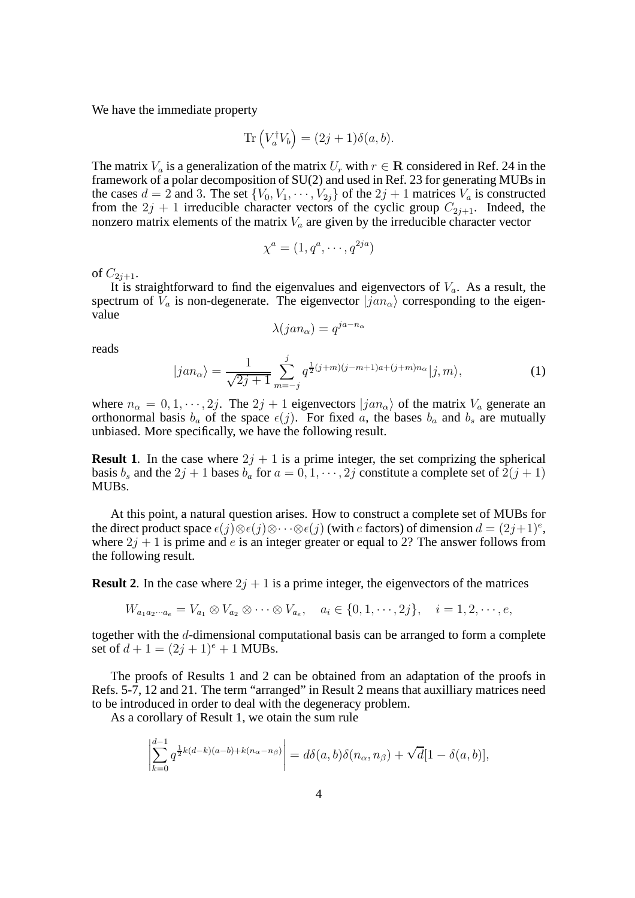We have the immediate property

$$
\text{Tr}\left(V_a^{\dagger}V_b\right) = (2j+1)\delta(a,b).
$$

The matrix  $V_a$  is a generalization of the matrix  $U_r$  with  $r \in \mathbb{R}$  considered in Ref. 24 in the framework of a polar decomposition of SU(2) and used in Ref. 23 for generating MUBs in the cases  $d = 2$  and 3. The set  $\{V_0, V_1, \dots, V_{2i}\}$  of the  $2j + 1$  matrices  $V_a$  is constructed from the  $2j + 1$  irreducible character vectors of the cyclic group  $C_{2j+1}$ . Indeed, the nonzero matrix elements of the matrix  $V_a$  are given by the irreducible character vector

$$
\chi^a = (1, q^a, \cdots, q^{2ja})
$$

of  $C_{2i+1}$ .

It is straightforward to find the eigenvalues and eigenvectors of  $V_a$ . As a result, the spectrum of  $V_a$  is non-degenerate. The eigenvector  $|jan_{\alpha}\rangle$  corresponding to the eigenvalue

$$
\lambda(jan_{\alpha}) = q^{ja - n_{\alpha}}
$$

reads

$$
|jan_{\alpha}\rangle = \frac{1}{\sqrt{2j+1}} \sum_{m=-j}^{j} q^{\frac{1}{2}(j+m)(j-m+1)a+(j+m)n_{\alpha}} |j,m\rangle, \tag{1}
$$

where  $n_{\alpha} = 0, 1, \dots, 2j$ . The  $2j + 1$  eigenvectors  $|jan_{\alpha}\rangle$  of the matrix  $V_a$  generate an orthonormal basis  $b_a$  of the space  $\epsilon(j)$ . For fixed a, the bases  $b_a$  and  $b_s$  are mutually unbiased. More specifically, we have the following result.

**Result 1.** In the case where  $2j + 1$  is a prime integer, the set comprizing the spherical basis  $b_s$  and the  $2j + 1$  bases  $b_a$  for  $a = 0, 1, \dots, 2j$  constitute a complete set of  $2(j + 1)$ MUBs.

At this point, a natural question arises. How to construct a complete set of MUBs for the direct product space  $\epsilon(j) \otimes \epsilon(j) \otimes \cdots \otimes \epsilon(j)$  (with e factors) of dimension  $d = (2j+1)^e$ , where  $2j + 1$  is prime and e is an integer greater or equal to 2? The answer follows from the following result.

**Result 2.** In the case where  $2j + 1$  is a prime integer, the eigenvectors of the matrices

 $W_{a_1 a_2 \cdots a_e} = V_{a_1} \otimes V_{a_2} \otimes \cdots \otimes V_{a_e}, \quad a_i \in \{0, 1, \cdots, 2j\}, \quad i = 1, 2, \cdots, e,$ 

together with the d-dimensional computational basis can be arranged to form a complete set of  $d + 1 = (2j + 1)^e + 1$  MUBs.

The proofs of Results 1 and 2 can be obtained from an adaptation of the proofs in Refs. 5-7, 12 and 21. The term "arranged" in Result 2 means that auxilliary matrices need to be introduced in order to deal with the degeneracy problem.

As a corollary of Result 1, we otain the sum rule

$$
\left|\sum_{k=0}^{d-1} q^{\frac{1}{2}k(d-k)(a-b)+k(n_{\alpha}-n_{\beta})}\right| = d\delta(a,b)\delta(n_{\alpha},n_{\beta}) + \sqrt{d}[1-\delta(a,b)],
$$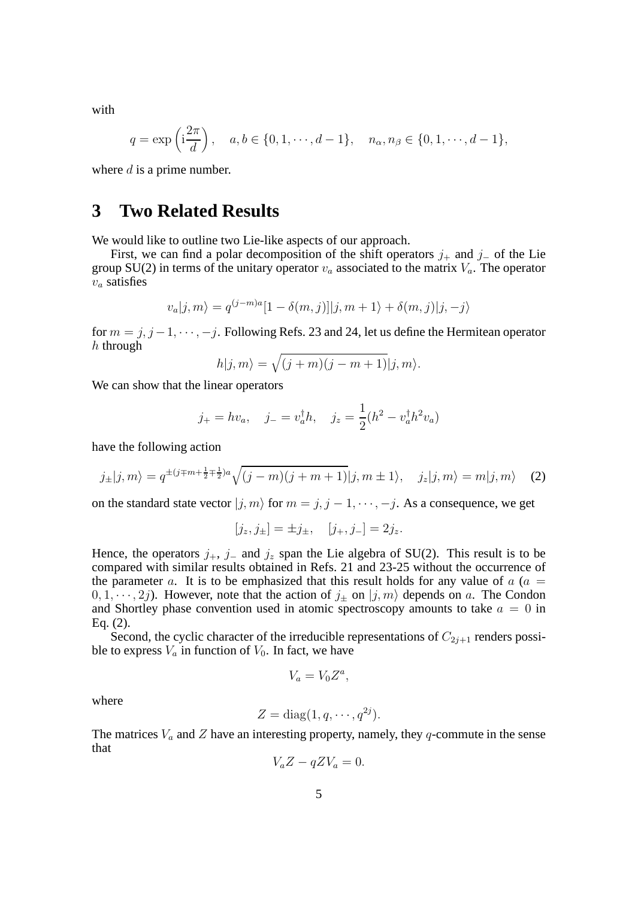with

$$
q = \exp\left(i\frac{2\pi}{d}\right), \quad a, b \in \{0, 1, \cdots, d - 1\}, \quad n_{\alpha}, n_{\beta} \in \{0, 1, \cdots, d - 1\},\
$$

where  $d$  is a prime number.

## **3 Two Related Results**

We would like to outline two Lie-like aspects of our approach.

First, we can find a polar decomposition of the shift operators  $j_+$  and  $j_-\$  of the Lie group SU(2) in terms of the unitary operator  $v_a$  associated to the matrix  $V_a$ . The operator  $v_a$  satisfies

$$
v_a|j,m\rangle = q^{(j-m)a}[1-\delta(m,j)]|j,m+1\rangle + \delta(m,j)|j,-j\rangle
$$

for  $m = j, j - 1, \dots, -j$ . Following Refs. 23 and 24, let us define the Hermitean operator  $h$  through

$$
h|j,m\rangle = \sqrt{(j+m)(j-m+1)}|j,m\rangle.
$$

We can show that the linear operators

$$
j_{+} = hv_{a}, \quad j_{-} = v_{a}^{\dagger}h, \quad j_{z} = \frac{1}{2}(h^{2} - v_{a}^{\dagger}h^{2}v_{a})
$$

have the following action

$$
j_{\pm}|j,m\rangle = q^{\pm(j\mp m + \frac{1}{2}\mp\frac{1}{2})a}\sqrt{(j-m)(j+m+1)}|j,m\pm 1\rangle, \quad j_z|j,m\rangle = m|j,m\rangle \quad (2)
$$

on the standard state vector  $|j, m\rangle$  for  $m = j, j - 1, \dots, -j$ . As a consequence, we get

$$
[j_z, j_{\pm}] = \pm j_{\pm}, \quad [j_+, j_-] = 2j_z.
$$

Hence, the operators  $j_+$ ,  $j_-$  and  $j_z$  span the Lie algebra of SU(2). This result is to be compared with similar results obtained in Refs. 21 and 23-25 without the occurrence of the parameter a. It is to be emphasized that this result holds for any value of  $a$  ( $a =$  $0, 1, \dots, 2j$ ). However, note that the action of  $j_{\pm}$  on  $|j, m\rangle$  depends on a. The Condon and Shortley phase convention used in atomic spectroscopy amounts to take  $a = 0$  in Eq. (2).

Second, the cyclic character of the irreducible representations of  $C_{2i+1}$  renders possible to express  $V_a$  in function of  $V_0$ . In fact, we have

$$
V_a = V_0 Z^a,
$$

where

$$
Z = \text{diag}(1, q, \cdots, q^{2j}).
$$

The matrices  $V_a$  and  $Z$  have an interesting property, namely, they  $q$ -commute in the sense that

$$
V_a Z - q Z V_a = 0.
$$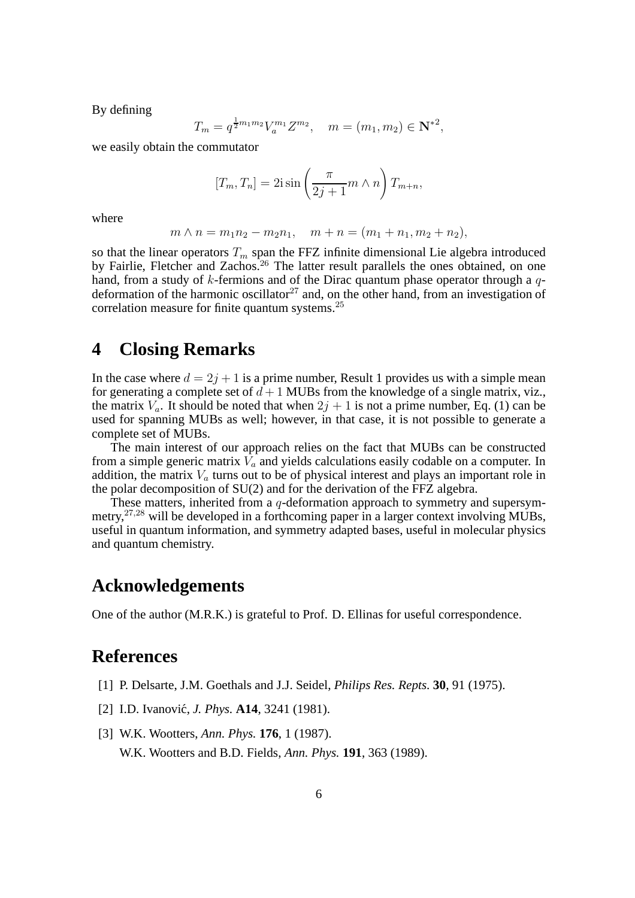By defining

$$
T_m = q^{\frac{1}{2}m_1m_2} V_a^{m_1} Z^{m_2}, \quad m = (m_1, m_2) \in \mathbb{N}^{*2},
$$

we easily obtain the commutator

$$
[T_m, T_n] = 2i \sin \left(\frac{\pi}{2j+1}m \wedge n\right) T_{m+n},
$$

where

$$
m \wedge n = m_1 n_2 - m_2 n_1, \quad m + n = (m_1 + n_1, m_2 + n_2),
$$

so that the linear operators  $T_m$  span the FFZ infinite dimensional Lie algebra introduced by Fairlie, Fletcher and Zachos.<sup>26</sup> The latter result parallels the ones obtained, on one hand, from a study of k-fermions and of the Dirac quantum phase operator through a qdeformation of the harmonic oscillator<sup>27</sup> and, on the other hand, from an investigation of correlation measure for finite quantum systems.<sup>25</sup>

# **4 Closing Remarks**

In the case where  $d = 2j + 1$  is a prime number, Result 1 provides us with a simple mean for generating a complete set of  $d+1$  MUBs from the knowledge of a single matrix, viz., the matrix  $V_a$ . It should be noted that when  $2j + 1$  is not a prime number, Eq. (1) can be used for spanning MUBs as well; however, in that case, it is not possible to generate a complete set of MUBs.

The main interest of our approach relies on the fact that MUBs can be constructed from a simple generic matrix  $V_a$  and yields calculations easily codable on a computer. In addition, the matrix  $V_a$  turns out to be of physical interest and plays an important role in the polar decomposition of SU(2) and for the derivation of the FFZ algebra.

These matters, inherited from a q-deformation approach to symmetry and supersymmetry,<sup>27</sup>,<sup>28</sup> will be developed in a forthcoming paper in a larger context involving MUBs, useful in quantum information, and symmetry adapted bases, useful in molecular physics and quantum chemistry.

### **Acknowledgements**

One of the author (M.R.K.) is grateful to Prof. D. Ellinas for useful correspondence.

### **References**

- [1] P. Delsarte, J.M. Goethals and J.J. Seidel, *Philips Res. Repts.* **30**, 91 (1975).
- [2] I.D. Ivanović, *J. Phys.* **A14**, 3241 (1981).
- [3] W.K. Wootters, *Ann. Phys.* **176**, 1 (1987). W.K. Wootters and B.D. Fields, *Ann. Phys.* **191**, 363 (1989).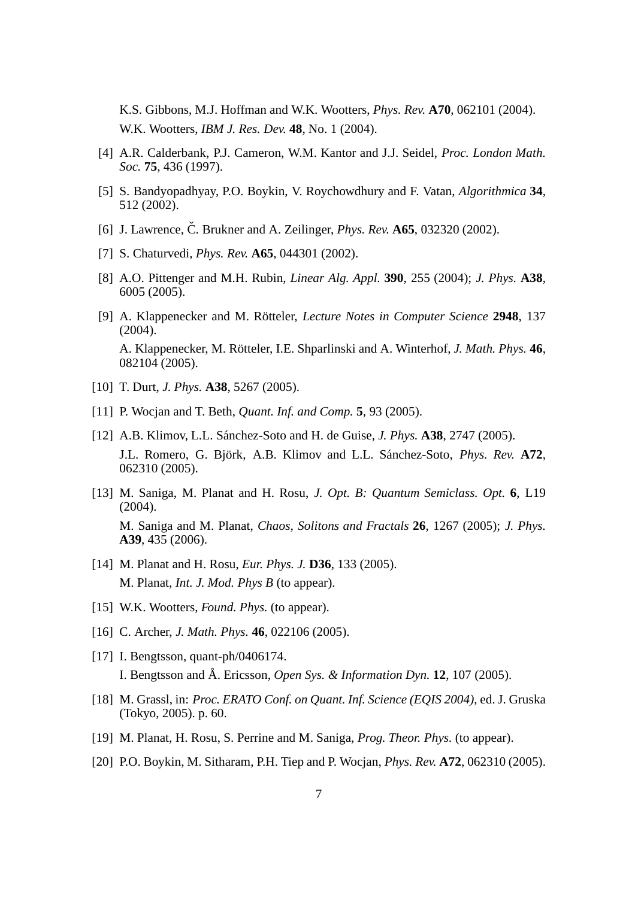K.S. Gibbons, M.J. Hoffman and W.K. Wootters, *Phys. Rev.* **A70**, 062101 (2004). W.K. Wootters, *IBM J. Res. Dev.* **48**, No. 1 (2004).

- [4] A.R. Calderbank, P.J. Cameron, W.M. Kantor and J.J. Seidel, *Proc. London Math. Soc.* **75**, 436 (1997).
- [5] S. Bandyopadhyay, P.O. Boykin, V. Roychowdhury and F. Vatan, *Algorithmica* **34**, 512 (2002).
- [6] J. Lawrence, Č. Brukner and A. Zeilinger, *Phys. Rev.*  $A65$ , 032320 (2002).
- [7] S. Chaturvedi, *Phys. Rev.* **A65**, 044301 (2002).
- [8] A.O. Pittenger and M.H. Rubin, *Linear Alg. Appl.* **390**, 255 (2004); *J. Phys.* **A38**, 6005 (2005).
- [9] A. Klappenecker and M. Rötteler, *Lecture Notes in Computer Science* **2948**, 137 (2004). A. Klappenecker, M. Rötteler, I.E. Shparlinski and A. Winterhof, *J. Math. Phys.* **46**, 082104 (2005).
- [10] T. Durt, *J. Phys.* **A38**, 5267 (2005).
- [11] P. Wocjan and T. Beth, *Quant. Inf. and Comp.* **5**, 93 (2005).
- [12] A.B. Klimov, L.L. S´anchez-Soto and H. de Guise, *J. Phys.* **A38**, 2747 (2005). J.L. Romero, G. Björk, A.B. Klimov and L.L. Sánchez-Soto, *Phys. Rev.* A72, 062310 (2005).
- [13] M. Saniga, M. Planat and H. Rosu, *J. Opt. B: Quantum Semiclass. Opt.* **6**, L19 (2004). M. Saniga and M. Planat, *Chaos, Solitons and Fractals* **26**, 1267 (2005); *J. Phys.* **A39**, 435 (2006).
- [14] M. Planat and H. Rosu, *Eur. Phys. J.* **D36**, 133 (2005). M. Planat, *Int. J. Mod. Phys B* (to appear).
- [15] W.K. Wootters, *Found. Phys.* (to appear).
- [16] C. Archer, *J. Math. Phys.* **46**, 022106 (2005).
- [17] I. Bengtsson, quant-ph/0406174. I. Bengtsson and Å. Ericsson, *Open Sys. & Information Dyn.* **12**, 107 (2005).
- [18] M. Grassl, in: *Proc. ERATO Conf. on Quant. Inf. Science (EQIS 2004)*, ed. J. Gruska (Tokyo, 2005). p. 60.
- [19] M. Planat, H. Rosu, S. Perrine and M. Saniga, *Prog. Theor. Phys.* (to appear).
- [20] P.O. Boykin, M. Sitharam, P.H. Tiep and P. Wocjan, *Phys. Rev.* **A72**, 062310 (2005).